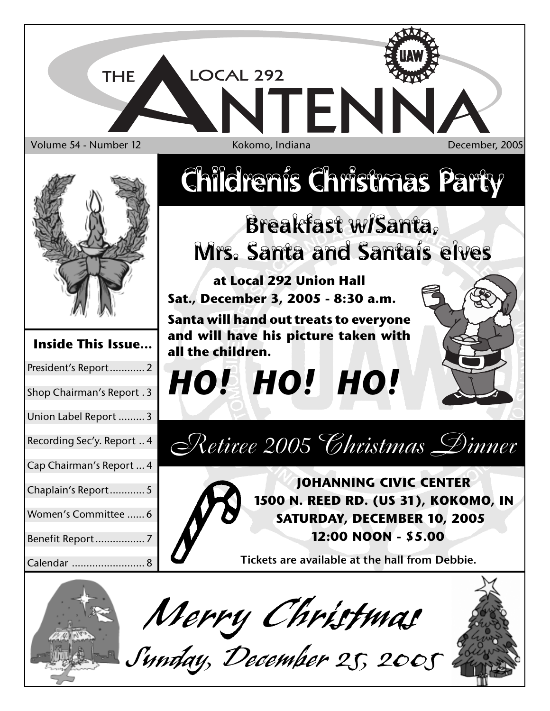



*Merry Christmas Sunday, December 25, 2005*

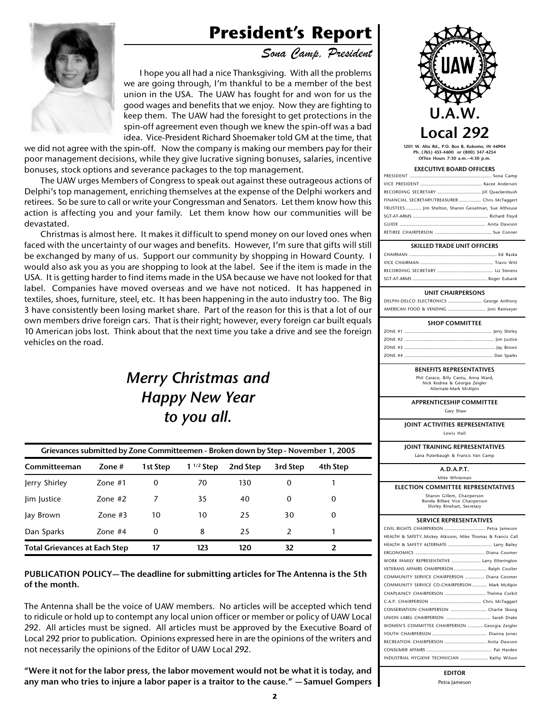# **President's Report**



*Sona Camp, President*

I hope you all had a nice Thanksgiving. With all the problems we are going through, I'm thankful to be a member of the best union in the USA. The UAW has fought for and won for us the good wages and benefits that we enjoy. Now they are fighting to keep them. The UAW had the foresight to get protections in the spin-off agreement even though we knew the spin-off was a bad idea. Vice-President Richard Shoemaker told GM at the time, that

we did not agree with the spin-off. Now the company is making our members pay for their poor management decisions, while they give lucrative signing bonuses, salaries, incentive bonuses, stock options and severance packages to the top management.

The UAW urges Members of Congress to speak out against these outrageous actions of Delphi's top management, enriching themselves at the expense of the Delphi workers and retirees. So be sure to call or write your Congressman and Senators. Let them know how this action is affecting you and your family. Let them know how our communities will be devastated.

Christmas is almost here. It makes it difficult to spend money on our loved ones when faced with the uncertainty of our wages and benefits. However, I'm sure that gifts will still be exchanged by many of us. Support our community by shopping in Howard County. I would also ask you as you are shopping to look at the label. See if the item is made in the USA. It is getting harder to find items made in the USA because we have not looked for that label. Companies have moved overseas and we have not noticed. It has happened in textiles, shoes, furniture, steel, etc. It has been happening in the auto industry too. The Big 3 have consistently been losing market share. Part of the reason for this is that a lot of our own members drive foreign cars. That is their right; however, every foreign car built equals 10 American jobs lost. Think about that the next time you take a drive and see the foreign vehicles on the road.

## *Merry Christmas and Happy New Year to you all.*

| Grievances submitted by Zone Committeemen - Broken down by Step - November 1, 2005 |            |          |                |          |               |          |
|------------------------------------------------------------------------------------|------------|----------|----------------|----------|---------------|----------|
| Committeeman                                                                       | Zone $#$   | 1st Step | $1^{1/2}$ Step | 2nd Step | 3rd Step      | 4th Step |
| Jerry Shirley                                                                      | Zone $#1$  | 0        | 70             | 130      | 0             |          |
| lim Justice                                                                        | Zone $#2$  | 7        | 35             | 40       | 0             | 0        |
| Jay Brown                                                                          | $7$ one #3 | 10       | 10             | 25       | 30            | 0        |
| Dan Sparks                                                                         | Zone $#4$  | 0        | 8              | 25       | $\mathcal{P}$ |          |
| <b>Total Grievances at Each Step</b>                                               |            | 17       | 123            | 120      | 32            | 2        |

### **PUBLICATION POLICY— The deadline for submitting articles for The Antenna is the 5th of the month.**

The Antenna shall be the voice of UAW members. No articles will be accepted which tend to ridicule or hold up to contempt any local union officer or member or policy of UAW Local 292. All articles must be signed. All articles must be approved by the Executive Board of Local 292 prior to publication. Opinions expressed here in are the opinions of the writers and not necessarily the opinions of the Editor of UAW Local 292.

**"Were it not for the labor press, the labor movement would not be what it is today, and any man who tries to injure a labor paper is a traitor to the cause." — Samuel Gompers**



**1201 W. Alto Rd., P.O. Box B, Kokomo, IN 46904 Ph. (765) 453-4600 or (800) 347-4254 Office Hours 7:30 a.m.—4:30 p.m.**

### **EXECUTIVE BOARD OFFICERS**

| FINANCIAL SECRETARY/TREASURER  Chris McTaggert        |
|-------------------------------------------------------|
| TRUSTEES  Jim Shelton, Sharon Geiselman, Sue Althouse |
|                                                       |
|                                                       |
|                                                       |

| <b>SKILLED TRADE UNIT OFFICERS</b> |  |
|------------------------------------|--|
|                                    |  |
|                                    |  |
|                                    |  |

### SGT-AT-ARMS ............................................................. Roger Eubank **UNIT CHAIRPERSONS**

DELPHI-DELCO ELECTRONICS ............................ George Anthony AMERICAN FOOD & VENDING ............................... Joni Ramseyer

| <b>SHOP COMMITTEE</b> |  |  |  |  |
|-----------------------|--|--|--|--|
|                       |  |  |  |  |
|                       |  |  |  |  |
|                       |  |  |  |  |
|                       |  |  |  |  |

### **BENEFITS REPRESENTATIVES**

Phil Caraco, Billy Cantu, Anna Ward, Nick Kodrea & Georgia Zeigler Alternate-Mark McAlpin

### **APPRENTICESHIP COMMITTEE**

Gary Shaw

**JOINT ACTIVITIES REPRESENTATIVE**

Lewis Hall

**JOINT TRAINING REPRESENTATIVES**

| Lana Puterbaugh & Francis Van Camp |  |  |
|------------------------------------|--|--|
|                                    |  |  |

**A.D.A.P.T.** Mike Whiteman

**ELECTION COMMITTEE REPRESENTATIVES** Sharon Gillem, Chairperson

Ronda Bilbee Vice Chairperson Shirley Rinehart, Secretary

### **SERVICE REPRESENTATIVES**

| CIVIL RIGHTS CHAIRPERSON  Petra Jameson                    |
|------------------------------------------------------------|
| HEALTH & SAFETYMickey Atkisson, Mike Thomas & Francis Call |
|                                                            |
|                                                            |
| WORK FAMILY REPRESENTATIVE  Larry Etherington              |
| VETERANS AFFAIRS CHAIRPERSON  Ralph Coulter                |
| COMMUNITY SERVICE CHAIRPERSON  Diana Coomer                |
| COMMUNITY SERVICE CO-CHAIRPERSON  Mark McAlpin             |
| CHAPLAINCY CHAIRPERSON  Thelma Corbit                      |
|                                                            |
| CONSERVATION CHAIRPERSON  Charlie Skoog                    |
|                                                            |
| WOMEN'S COMMITTEE CHAIRPERSON  Georgia Zeigler             |
|                                                            |
| RECREATION CHAIRPERSON  Anita Dawson                       |
|                                                            |
| INDUSTRIAL HYGIENE TECHNICIAN  Kathy Wilson                |
|                                                            |

**EDITOR** Petra Jameson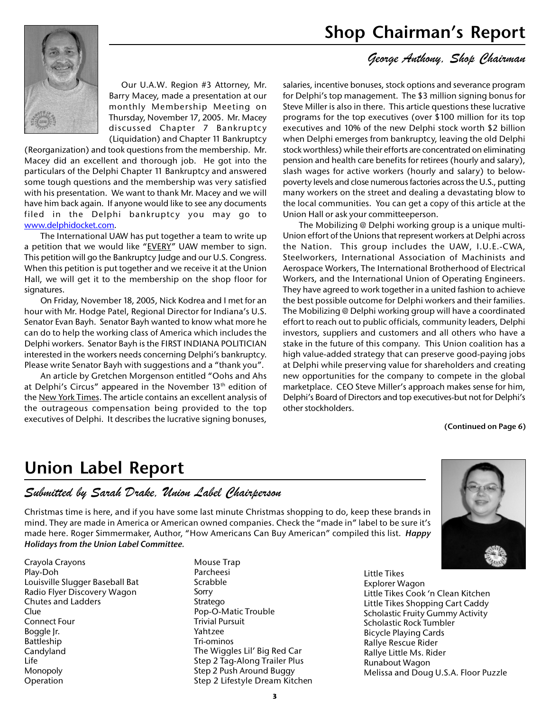

Our U.A.W. Region #3 Attorney, Mr. Barry Macey, made a presentation at our monthly Membership Meeting on Thursday, November 17, 2005. Mr. Macey discussed Chapter 7 Bankruptcy (Liquidation) and Chapter 11 Bankruptcy

(Reorganization) and took questions from the membership. Mr. Macey did an excellent and thorough job. He got into the particulars of the Delphi Chapter 11 Bankruptcy and answered some tough questions and the membership was very satisfied with his presentation. We want to thank Mr. Macey and we will have him back again. If anyone would like to see any documents filed in the Delphi bankruptcy you may go to www.delphidocket.com.

The International UAW has put together a team to write up a petition that we would like "EVERY" UAW member to sign. This petition will go the Bankruptcy Judge and our U.S. Congress. When this petition is put together and we receive it at the Union Hall, we will get it to the membership on the shop floor for signatures.

On Friday, November 18, 2005, Nick Kodrea and I met for an hour with Mr. Hodge Patel, Regional Director for Indiana's U.S. Senator Evan Bayh. Senator Bayh wanted to know what more he can do to help the working class of America which includes the Delphi workers. Senator Bayh is the FIRST INDIANA POLITICIAN interested in the workers needs concerning Delphi's bankruptcy. Please write Senator Bayh with suggestions and a "thank you".

An article by Gretchen Morgenson entitled "Oohs and Ahs at Delphi's Circus" appeared in the November 13<sup>th</sup> edition of the New York Times. The article contains an excellent analysis of the outrageous compensation being provided to the top executives of Delphi. It describes the lucrative signing bonuses,

## *George Anthony, Shop Chairman*

salaries, incentive bonuses, stock options and severance program for Delphi's top management. The \$3 million signing bonus for Steve Miller is also in there. This article questions these lucrative programs for the top executives (over \$100 million for its top executives and 10% of the new Delphi stock worth \$2 billion when Delphi emerges from bankruptcy, leaving the old Delphi stock worthless) while their efforts are concentrated on eliminating pension and health care benefits for retirees (hourly and salary), slash wages for active workers (hourly and salary) to belowpoverty levels and close numerous factories across the U.S., putting many workers on the street and dealing a devastating blow to the local communities. You can get a copy of this article at the Union Hall or ask your committeeperson.

The Mobilizing @ Delphi working group is a unique multi-Union effort of the Unions that represent workers at Delphi across the Nation. This group includes the UAW, I.U.E.-CWA, Steelworkers, International Association of Machinists and Aerospace Workers, The International Brotherhood of Electrical Workers, and the International Union of Operating Engineers. They have agreed to work together in a united fashion to achieve the best possible outcome for Delphi workers and their families. The Mobilizing @ Delphi working group will have a coordinated effort to reach out to public officials, community leaders, Delphi investors, suppliers and customers and all others who have a stake in the future of this company. This Union coalition has a high value-added strategy that can preserve good-paying jobs at Delphi while preserving value for shareholders and creating new opportunities for the company to compete in the global marketplace. CEO Steve Miller's approach makes sense for him, Delphi's Board of Directors and top executives-but not for Delphi's other stockholders.

### **(Continued on Page 6)**

## **Union Label Report**

## *Submitted by Sarah Drake, Union Label Chairperson*

Christmas time is here, and if you have some last minute Christmas shopping to do, keep these brands in mind. They are made in America or American owned companies. Check the "made in" label to be sure it's made here. Roger Simmermaker, Author, "How Americans Can Buy American" compiled this list. *Happy Holidays from the Union Label Committee.*

Crayola Crayons Play-Doh Louisville Slugger Baseball Bat Radio Flyer Discovery Wagon Chutes and Ladders Clue Connect Four Boggle Jr. Battleship Candyland Life Monopoly Operation

Mouse Trap Parcheesi Scrabble Sorry Stratego Pop-O-Matic Trouble Trivial Pursuit Yahtzee Tri-ominos The Wiggles Lil' Big Red Car Step 2 Tag-Along Trailer Plus Step 2 Push Around Buggy Step 2 Lifestyle Dream Kitchen

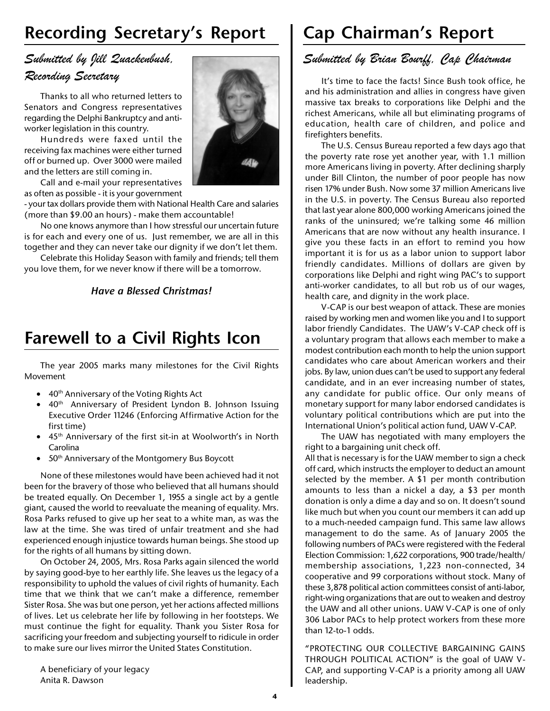# **Recording Secretary's Report**

## *Submitted by Jill Quackenbush, Recording Secretary*

Thanks to all who returned letters to Senators and Congress representatives regarding the Delphi Bankruptcy and antiworker legislation in this country.

Hundreds were faxed until the receiving fax machines were either turned off or burned up. Over 3000 were mailed and the letters are still coming in.

Call and e-mail your representatives as often as possible - it is your government

- your tax dollars provide them with National Health Care and salaries (more than \$9.00 an hours) - make them accountable!

No one knows anymore than I how stressful our uncertain future is for each and every one of us. Just remember, we are all in this together and they can never take our dignity if we don't let them.

Celebrate this Holiday Season with family and friends; tell them you love them, for we never know if there will be a tomorrow.

## *Have a Blessed Christmas!*

# **Farewell to a Civil Rights Icon**

The year 2005 marks many milestones for the Civil Rights Movement

- $\bullet$  40<sup>th</sup> Anniversary of the Voting Rights Act
- 40<sup>th</sup> Anniversary of President Lyndon B. Johnson Issuing Executive Order 11246 (Enforcing Affirmative Action for the first time)
- 45<sup>th</sup> Anniversary of the first sit-in at Woolworth's in North Carolina
- 50<sup>th</sup> Anniversary of the Montgomery Bus Boycott

None of these milestones would have been achieved had it not been for the bravery of those who believed that all humans should be treated equally. On December 1, 1955 a single act by a gentle giant, caused the world to reevaluate the meaning of equality. Mrs. Rosa Parks refused to give up her seat to a white man, as was the law at the time. She was tired of unfair treatment and she had experienced enough injustice towards human beings. She stood up for the rights of all humans by sitting down.

On October 24, 2005, Mrs. Rosa Parks again silenced the world by saying good-bye to her earthly life. She leaves us the legacy of a responsibility to uphold the values of civil rights of humanity. Each time that we think that we can't make a difference, remember Sister Rosa. She was but one person, yet her actions affected millions of lives. Let us celebrate her life by following in her footsteps. We must continue the fight for equality. Thank you Sister Rosa for sacrificing your freedom and subjecting yourself to ridicule in order to make sure our lives mirror the United States Constitution.

A beneficiary of your legacy Anita R. Dawson



# **Cap Chairman's Report**

## *Submitted by Brian Bourff, Cap Chairman*

It's time to face the facts! Since Bush took office, he and his administration and allies in congress have given massive tax breaks to corporations like Delphi and the richest Americans, while all but eliminating programs of education, health care of children, and police and firefighters benefits.

The U.S. Census Bureau reported a few days ago that the poverty rate rose yet another year, with 1.1 million more Americans living in poverty. After declining sharply under Bill Clinton, the number of poor people has now risen 17% under Bush. Now some 37 million Americans live in the U.S. in poverty. The Census Bureau also reported that last year alone 800,000 working Americans joined the ranks of the uninsured; we're talking some 46 million Americans that are now without any health insurance. I give you these facts in an effort to remind you how important it is for us as a labor union to support labor friendly candidates. Millions of dollars are given by corporations like Delphi and right wing PAC's to support anti-worker candidates, to all but rob us of our wages, health care, and dignity in the work place.

V-CAP is our best weapon of attack. These are monies raised by working men and women like you and I to support labor friendly Candidates. The UAW's V-CAP check off is a voluntary program that allows each member to make a modest contribution each month to help the union support candidates who care about American workers and their jobs. By law, union dues can't be used to support any federal candidate, and in an ever increasing number of states, any candidate for public office. Our only means of monetary support for many labor endorsed candidates is voluntary political contributions which are put into the International Union's political action fund, UAW V-CAP.

The UAW has negotiated with many employers the right to a bargaining unit check off.

All that is necessary is for the UAW member to sign a check off card, which instructs the employer to deduct an amount selected by the member. A \$1 per month contribution amounts to less than a nickel a day, a \$3 per month donation is only a dime a day and so on. It doesn't sound like much but when you count our members it can add up to a much-needed campaign fund. This same law allows management to do the same. As of January 2005 the following numbers of PACs were registered with the Federal Election Commission: 1,622 corporations, 900 trade/health/ membership associations, 1,223 non-connected, 34 cooperative and 99 corporations without stock. Many of these 3,878 political action committees consist of anti-labor, right-wing organizations that are out to weaken and destroy the UAW and all other unions. UAW V-CAP is one of only 306 Labor PACs to help protect workers from these more than 12-to-1 odds.

"PROTECTING OUR COLLECTIVE BARGAINING GAINS THROUGH POLITICAL ACTION" is the goal of UAW V-CAP, and supporting V-CAP is a priority among all UAW leadership.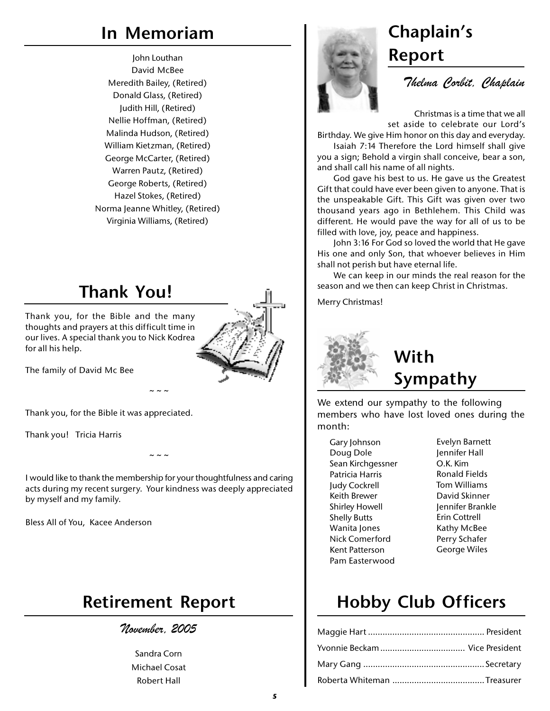# **In Memoriam Chaplain's**

John Louthan David McBee Meredith Bailey, (Retired) Donald Glass, (Retired) Judith Hill, (Retired) Nellie Hoffman, (Retired) Malinda Hudson, (Retired) William Kietzman, (Retired) George McCarter, (Retired) Warren Pautz, (Retired) George Roberts, (Retired) Hazel Stokes, (Retired) Norma Jeanne Whitley, (Retired) Virginia Williams, (Retired)

# **Thank You!**

Thank you, for the Bible and the many thoughts and prayers at this difficult time in our lives. A special thank you to Nick Kodrea for all his help.



The family of David Mc Bee

Thank you, for the Bible it was appreciated.

Thank you! Tricia Harris

I would like to thank the membership for your thoughtfulness and caring acts during my recent surgery. Your kindness was deeply appreciated by myself and my family.

 $\sim$   $\sim$   $\sim$ 

 $\sim$   $\sim$   $\sim$ 

Bless All of You, Kacee Anderson

## **Retirement Report**

*November, 2005*

Sandra Corn Michael Cosat Robert Hall

# **Report**

*Thelma Corbit, Chaplain*

Christmas is a time that we all set aside to celebrate our Lord's

Birthday. We give Him honor on this day and everyday.

Isaiah 7:14 Therefore the Lord himself shall give you a sign; Behold a virgin shall conceive, bear a son, and shall call his name of all nights.

God gave his best to us. He gave us the Greatest Gift that could have ever been given to anyone. That is the unspeakable Gift. This Gift was given over two thousand years ago in Bethlehem. This Child was different. He would pave the way for all of us to be filled with love, joy, peace and happiness.

John 3:16 For God so loved the world that He gave His one and only Son, that whoever believes in Him shall not perish but have eternal life.

We can keep in our minds the real reason for the season and we then can keep Christ in Christmas.

Merry Christmas!



# **With Sympathy**

We extend our sympathy to the following members who have lost loved ones during the month:

- Gary Johnson Doug Dole Sean Kirchgessner Patricia Harris Judy Cockrell Keith Brewer Shirley Howell Shelly Butts Wanita Jones Nick Comerford Kent Patterson Pam Easterwood
- Evelyn Barnett Jennifer Hall O.K. Kim Ronald Fields Tom Williams David Skinner Jennifer Brankle Erin Cottrell Kathy McBee Perry Schafer George Wiles

# **Hobby Club Officers**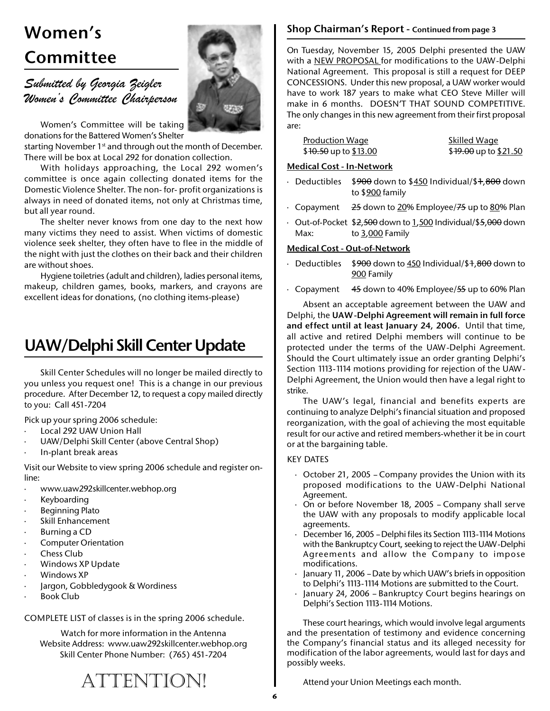# **Women's Shop Chairman's Report - Continued from page 3 Committee**

*Submitted by Georgia Zeigler Women's Committee Chairperson*

Women's Committee will be taking donations for the Battered Women's Shelter

starting November 1<sup>st</sup> and through out the month of December. There will be box at Local 292 for donation collection.

With holidays approaching, the Local 292 women's committee is once again collecting donated items for the Domestic Violence Shelter. The non- for- profit organizations is always in need of donated items, not only at Christmas time, but all year round.

The shelter never knows from one day to the next how many victims they need to assist. When victims of domestic violence seek shelter, they often have to flee in the middle of the night with just the clothes on their back and their children are without shoes.

Hygiene toiletries (adult and children), ladies personal items, makeup, children games, books, markers, and crayons are excellent ideas for donations, (no clothing items-please)

# **UAW/Delphi Skill Center Update**

Skill Center Schedules will no longer be mailed directly to you unless you request one! This is a change in our previous procedure. After December 12, to request a copy mailed directly to you: Call 451-7204

Pick up your spring 2006 schedule:

- Local 292 UAW Union Hall
- UAW/Delphi Skill Center (above Central Shop)
- · In-plant break areas

Visit our Website to view spring 2006 schedule and register online:

- · www.uaw292skillcenter.webhop.org
- · Keyboarding
- Beginning Plato
- Skill Enhancement
- · Burning a CD
- · Computer Orientation
- **Chess Club**
- Windows XP Update
- · Windows XP
- · Jargon, Gobbledygook & Wordiness
- Book Club

COMPLETE LIST of classes is in the spring 2006 schedule.

Watch for more information in the Antenna Website Address: www.uaw292skillcenter.webhop.org Skill Center Phone Number: (765) 451-7204

## On Tuesday, November 15, 2005 Delphi presented the UAW

with a NEW PROPOSAL for modifications to the UAW-Delphi National Agreement. This proposal is still a request for DEEP CONCESSIONS. Under this new proposal, a UAW worker would have to work 187 years to make what CEO Steve Miller will make in 6 months. DOESN'T THAT SOUND COMPETITIVE. The only changes in this new agreement from their first proposal are:

| <b>Production Wage</b> | <b>Skilled Wage</b>                      |
|------------------------|------------------------------------------|
| \$10.50 up to \$13.00  | \$ <del>19.00</del> up to <u>\$21.50</u> |

## **Medical Cost - In-Network**

- · Deductibles \$900 down to \$450 Individual/\$1,800 down to \$900 family
- Copayment  $25$  down to 20% Employee/ $75$  up to 80% Plan
- · Out-of-Pocket \$2,500 down to 1,500 Individual/\$5,000 down Max: to 3,000 Family

### **Medical Cost - Out-of-Network**

- Deductibles  $$900$  down to 450 Individual/\$1,800 down to 900 Family
- Copayment  $45$  down to 40% Employee/ $55$  up to 60% Plan

Absent an acceptable agreement between the UAW and Delphi, the **UAW-Delphi Agreement will remain in full force and effect until at least January 24, 2006.** Until that time, all active and retired Delphi members will continue to be protected under the terms of the UAW-Delphi Agreement. Should the Court ultimately issue an order granting Delphi's Section 1113-1114 motions providing for rejection of the UAW-Delphi Agreement, the Union would then have a legal right to strike.

The UAW's legal, financial and benefits experts are continuing to analyze Delphi's financial situation and proposed reorganization, with the goal of achieving the most equitable result for our active and retired members-whether it be in court or at the bargaining table.

### KEY DATES

- · October 21, 2005 Company provides the Union with its proposed modifications to the UAW-Delphi National Agreement.
- · On or before November 18, 2005 Company shall serve the UAW with any proposals to modify applicable local agreements.
- December 16, 2005 Delphi files its Section 1113-1114 Motions with the Bankruptcy Court, seeking to reject the UAW-Delphi Agreements and allow the Company to impose modifications.
- · January 11, 2006 Date by which UAW's briefs in opposition to Delphi's 1113-1114 Motions are submitted to the Court.
- January 24, 2006 Bankruptcy Court begins hearings on Delphi's Section 1113-1114 Motions.

These court hearings, which would involve legal arguments and the presentation of testimony and evidence concerning the Company's financial status and its alleged necessity for modification of the labor agreements, would last for days and possibly weeks.

Attend your Union Meetings each month.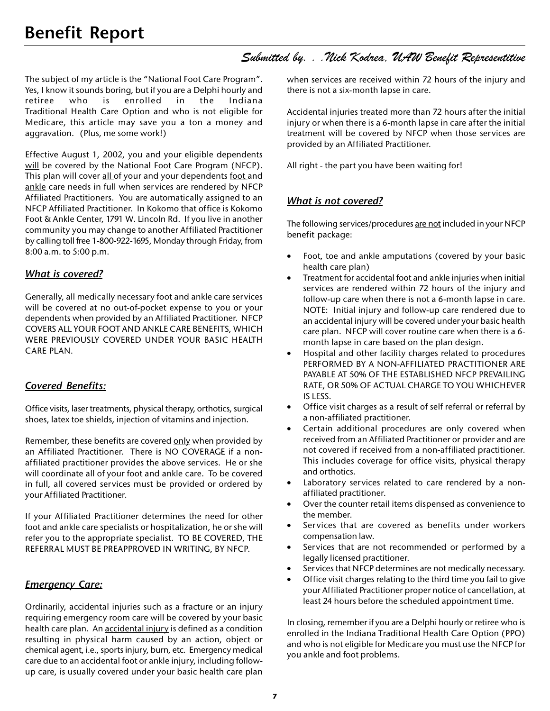## *Submitted by. . .Nick Kodrea, UAW Benefit Representitive*

The subject of my article is the "National Foot Care Program". Yes, I know it sounds boring, but if you are a Delphi hourly and retiree who is enrolled in the Indiana Traditional Health Care Option and who is not eligible for Medicare, this article may save you a ton a money and aggravation. (Plus, me some work!)

Effective August 1, 2002, you and your eligible dependents will be covered by the National Foot Care Program (NFCP). This plan will cover all of your and your dependents foot and ankle care needs in full when services are rendered by NFCP Affiliated Practitioners. You are automatically assigned to an NFCP Affiliated Practitioner. In Kokomo that office is Kokomo Foot & Ankle Center, 1791 W. Lincoln Rd. If you live in another community you may change to another Affiliated Practitioner by calling toll free 1-800-922-1695, Monday through Friday, from 8:00 a.m. to 5:00 p.m.

## *What is covered?*

Generally, all medically necessary foot and ankle care services will be covered at no out-of-pocket expense to you or your dependents when provided by an Affiliated Practitioner. NFCP COVERS ALL YOUR FOOT AND ANKLE CARE BENEFITS, WHICH WERE PREVIOUSLY COVERED UNDER YOUR BASIC HEALTH CARE PLAN.

## *Covered Benefits:*

Office visits, laser treatments, physical therapy, orthotics, surgical shoes, latex toe shields, injection of vitamins and injection.

Remember, these benefits are covered only when provided by an Affiliated Practitioner. There is NO COVERAGE if a nonaffiliated practitioner provides the above services. He or she will coordinate all of your foot and ankle care. To be covered in full, all covered services must be provided or ordered by your Affiliated Practitioner.

If your Affiliated Practitioner determines the need for other foot and ankle care specialists or hospitalization, he or she will refer you to the appropriate specialist. TO BE COVERED, THE REFERRAL MUST BE PREAPPROVED IN WRITING, BY NFCP.

## *Emergency Care:*

Ordinarily, accidental injuries such as a fracture or an injury requiring emergency room care will be covered by your basic health care plan. An accidental injury is defined as a condition resulting in physical harm caused by an action, object or chemical agent, i.e., sports injury, burn, etc. Emergency medical care due to an accidental foot or ankle injury, including followup care, is usually covered under your basic health care plan

when services are received within 72 hours of the injury and there is not a six-month lapse in care.

Accidental injuries treated more than 72 hours after the initial injury or when there is a 6-month lapse in care after the initial treatment will be covered by NFCP when those services are provided by an Affiliated Practitioner.

All right - the part you have been waiting for!

## *What is not covered?*

The following services/procedures are not included in your NFCP benefit package:

- Foot, toe and ankle amputations (covered by your basic health care plan)
- Treatment for accidental foot and ankle injuries when initial services are rendered within 72 hours of the injury and follow-up care when there is not a 6-month lapse in care. NOTE: Initial injury and follow-up care rendered due to an accidental injury will be covered under your basic health care plan. NFCP will cover routine care when there is a 6 month lapse in care based on the plan design.
- Hospital and other facility charges related to procedures PERFORMED BY A NON-AFFILIATED PRACTITIONER ARE PAYABLE AT 50% OF THE ESTABLISHED NFCP PREVAILING RATE, OR 50% OF ACTUAL CHARGE TO YOU WHICHEVER IS LESS.
- Office visit charges as a result of self referral or referral by a non-affiliated practitioner.
- Certain additional procedures are only covered when received from an Affiliated Practitioner or provider and are not covered if received from a non-affiliated practitioner. This includes coverage for office visits, physical therapy and orthotics.
- Laboratory services related to care rendered by a nonaffiliated practitioner.
- Over the counter retail items dispensed as convenience to the member.
- Services that are covered as benefits under workers compensation law.
- Services that are not recommended or performed by a legally licensed practitioner.
- Services that NFCP determines are not medically necessary.
- Office visit charges relating to the third time you fail to give your Affiliated Practitioner proper notice of cancellation, at least 24 hours before the scheduled appointment time.

In closing, remember if you are a Delphi hourly or retiree who is enrolled in the Indiana Traditional Health Care Option (PPO) and who is not eligible for Medicare you must use the NFCP for you ankle and foot problems.